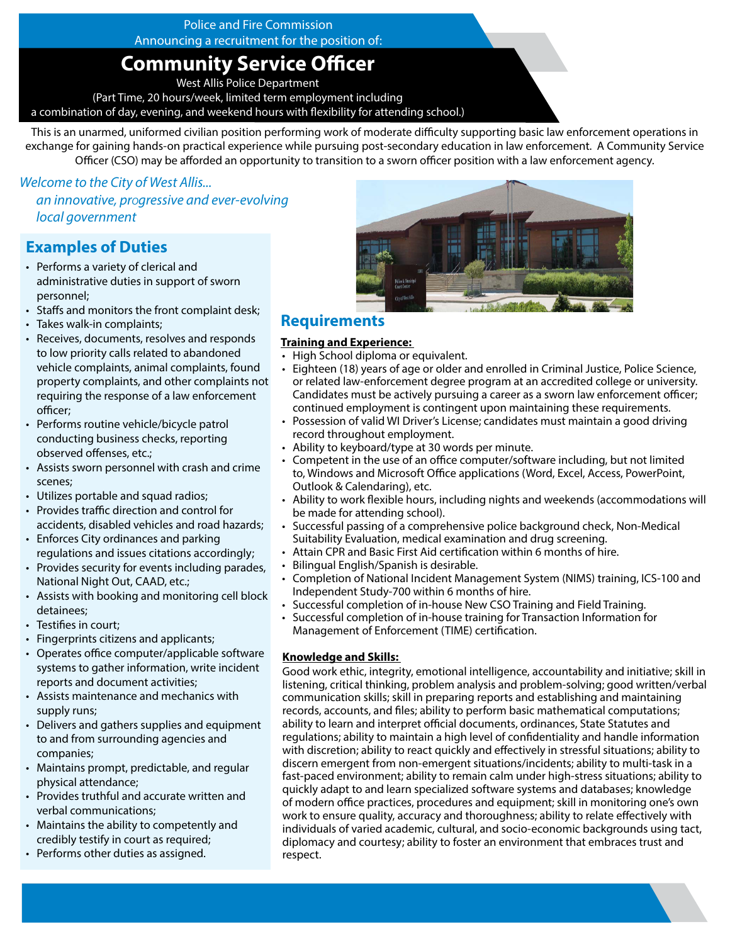## Police and Fire Commission

Announcing a recruitment for the position of:

# **Community Service Officer**

West Allis Police Department

(Part Time, 20 hours/week, limited term employment including

a combination of day, evening, and weekend hours with flexibility for attending school.)

This is an unarmed, uniformed civilian position performing work of moderate difficulty supporting basic law enforcement operations in exchange for gaining hands-on practical experience while pursuing post-secondary education in law enforcement. A Community Service Officer (CSO) may be afforded an opportunity to transition to a sworn officer position with a law enforcement agency.

*Welcome to the City of West Allis... an innovative, progressive and ever-evolving local government*

# **Examples of Duties**

- Performs a variety of clerical and administrative duties in support of sworn personnel;
- Staffs and monitors the front complaint desk;
- Takes walk-in complaints;
- Receives, documents, resolves and responds to low priority calls related to abandoned vehicle complaints, animal complaints, found property complaints, and other complaints not requiring the response of a law enforcement officer;
- Performs routine vehicle/bicycle patrol conducting business checks, reporting observed offenses, etc.;
- Assists sworn personnel with crash and crime scenes;
- Utilizes portable and squad radios;
- Provides traffic direction and control for accidents, disabled vehicles and road hazards;
- Enforces City ordinances and parking regulations and issues citations accordingly;
- Provides security for events including parades, National Night Out, CAAD, etc.;
- Assists with booking and monitoring cell block detainees;
- Testifies in court;
- Fingerprints citizens and applicants;
- Operates office computer/applicable software systems to gather information, write incident reports and document activities;
- Assists maintenance and mechanics with supply runs;
- Delivers and gathers supplies and equipment to and from surrounding agencies and companies;
- Maintains prompt, predictable, and regular physical attendance;
- Provides truthful and accurate written and verbal communications;
- Maintains the ability to competently and credibly testify in court as required;
- Performs other duties as assigned.



## **Requirements**

### **Training and Experience:**

- High School diploma or equivalent.
- Eighteen (18) years of age or older and enrolled in Criminal Justice, Police Science, or related law-enforcement degree program at an accredited college or university. Candidates must be actively pursuing a career as a sworn law enforcement officer; continued employment is contingent upon maintaining these requirements.
- Possession of valid WI Driver's License; candidates must maintain a good driving record throughout employment.
- Ability to keyboard/type at 30 words per minute.
- Competent in the use of an office computer/software including, but not limited to, Windows and Microsoft Office applications (Word, Excel, Access, PowerPoint, Outlook & Calendaring), etc.
- Ability to work flexible hours, including nights and weekends (accommodations will be made for attending school).
- Successful passing of a comprehensive police background check, Non-Medical Suitability Evaluation, medical examination and drug screening.
- Attain CPR and Basic First Aid certification within 6 months of hire.
- Bilingual English/Spanish is desirable.
- Completion of National Incident Management System (NIMS) training, ICS-100 and Independent Study-700 within 6 months of hire.
- Successful completion of in-house New CSO Training and Field Training.
- Successful completion of in-house training for Transaction Information for Management of Enforcement (TIME) certification.

### **Knowledge and Skills:**

Good work ethic, integrity, emotional intelligence, accountability and initiative; skill in listening, critical thinking, problem analysis and problem-solving; good written/verbal communication skills; skill in preparing reports and establishing and maintaining records, accounts, and files; ability to perform basic mathematical computations; ability to learn and interpret official documents, ordinances, State Statutes and regulations; ability to maintain a high level of confidentiality and handle information with discretion; ability to react quickly and effectively in stressful situations; ability to discern emergent from non-emergent situations/incidents; ability to multi-task in a fast-paced environment; ability to remain calm under high-stress situations; ability to quickly adapt to and learn specialized software systems and databases; knowledge of modern office practices, procedures and equipment; skill in monitoring one's own work to ensure quality, accuracy and thoroughness; ability to relate effectively with individuals of varied academic, cultural, and socio-economic backgrounds using tact, diplomacy and courtesy; ability to foster an environment that embraces trust and respect.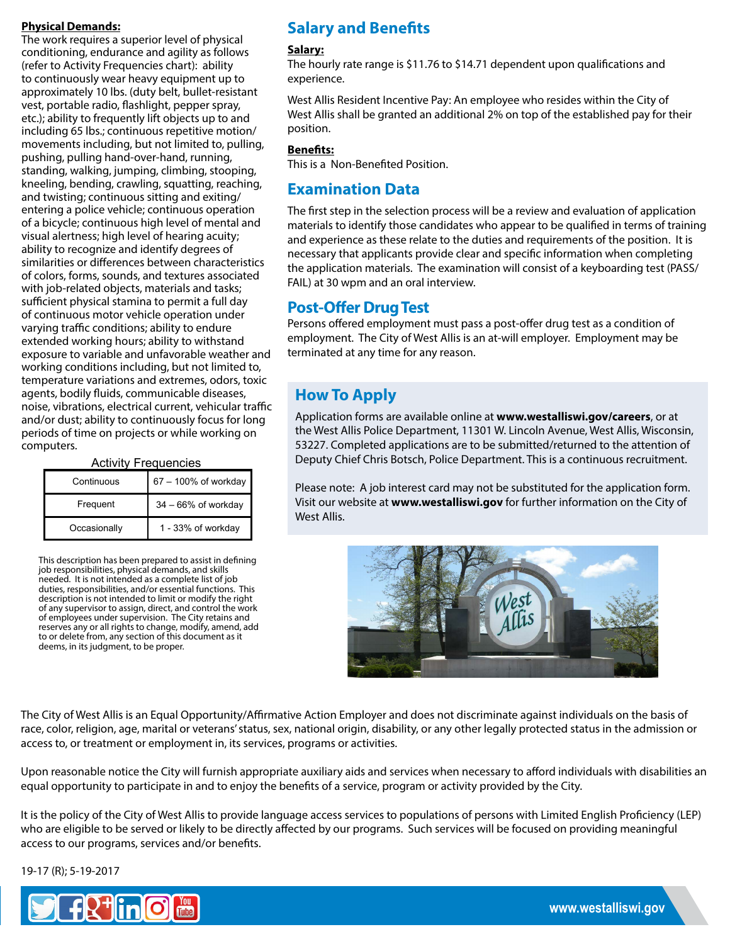### **Physical Demands:**

The work requires a superior level of physical conditioning, endurance and agility as follows (refer to Activity Frequencies chart): ability to continuously wear heavy equipment up to approximately 10 lbs. (duty belt, bullet-resistant vest, portable radio, flashlight, pepper spray, etc.); ability to frequently lift objects up to and including 65 lbs.; continuous repetitive motion/ movements including, but not limited to, pulling, pushing, pulling hand-over-hand, running, standing, walking, jumping, climbing, stooping, kneeling, bending, crawling, squatting, reaching, and twisting; continuous sitting and exiting/ entering a police vehicle; continuous operation of a bicycle; continuous high level of mental and visual alertness; high level of hearing acuity; ability to recognize and identify degrees of similarities or differences between characteristics of colors, forms, sounds, and textures associated with job-related objects, materials and tasks; sufficient physical stamina to permit a full day of continuous motor vehicle operation under varying traffic conditions; ability to endure extended working hours; ability to withstand exposure to variable and unfavorable weather and working conditions including, but not limited to, temperature variations and extremes, odors, toxic agents, bodily fluids, communicable diseases, noise, vibrations, electrical current, vehicular traffic and/or dust; ability to continuously focus for long periods of time on projects or while working on computers.

| <b>AULIVILY LI LEUUCITULES</b> |                        |  |  |  |
|--------------------------------|------------------------|--|--|--|
| Continuous                     | 67 - 100% of workday   |  |  |  |
| Frequent                       | $34 - 66\%$ of workday |  |  |  |
| Occasionally                   | 1 - 33% of workday     |  |  |  |

Activity Frequencies

This description has been prepared to assist in defining job responsibilities, physical demands, and skills needed. It is not intended as a complete list of job duties, responsibilities, and/or essential functions. This description is not intended to limit or modify the right of any supervisor to assign, direct, and control the work of employees under supervision. The City retains and reserves any or all rights to change, modify, amend, add to or delete from, any section of this document as it deems, in its judgment, to be proper.

# **Salary and Benefits**

#### **Salary:**

The hourly rate range is \$11.76 to \$14.71 dependent upon qualifications and experience.

West Allis Resident Incentive Pay: An employee who resides within the City of West Allis shall be granted an additional 2% on top of the established pay for their position.

### **Benefits:**

This is a Non-Benefited Position.

## **Examination Data**

The first step in the selection process will be a review and evaluation of application materials to identify those candidates who appear to be qualified in terms of training and experience as these relate to the duties and requirements of the position. It is necessary that applicants provide clear and specific information when completing the application materials. The examination will consist of a keyboarding test (PASS/ FAIL) at 30 wpm and an oral interview.

## **Post-Offer Drug Test**

Persons offered employment must pass a post-offer drug test as a condition of employment. The City of West Allis is an at-will employer. Employment may be terminated at any time for any reason.

# **How To Apply**

Application forms are available online at **www.westalliswi.gov/careers**, or at the West Allis Police Department, 11301 W. Lincoln Avenue, West Allis, Wisconsin, 53227. Completed applications are to be submitted/returned to the attention of Deputy Chief Chris Botsch, Police Department. This is a continuous recruitment.

Please note: A job interest card may not be substituted for the application form. Visit our website at **www.westalliswi.gov** for further information on the City of West Allis.



The City of West Allis is an Equal Opportunity/Affirmative Action Employer and does not discriminate against individuals on the basis of race, color, religion, age, marital or veterans' status, sex, national origin, disability, or any other legally protected status in the admission or access to, or treatment or employment in, its services, programs or activities.

Upon reasonable notice the City will furnish appropriate auxiliary aids and services when necessary to afford individuals with disabilities an equal opportunity to participate in and to enjoy the benefits of a service, program or activity provided by the City.

It is the policy of the City of West Allis to provide language access services to populations of persons with Limited English Proficiency (LEP) who are eligible to be served or likely to be directly affected by our programs. Such services will be focused on providing meaningful access to our programs, services and/or benefits.

19-17 (R); 5-19-2017

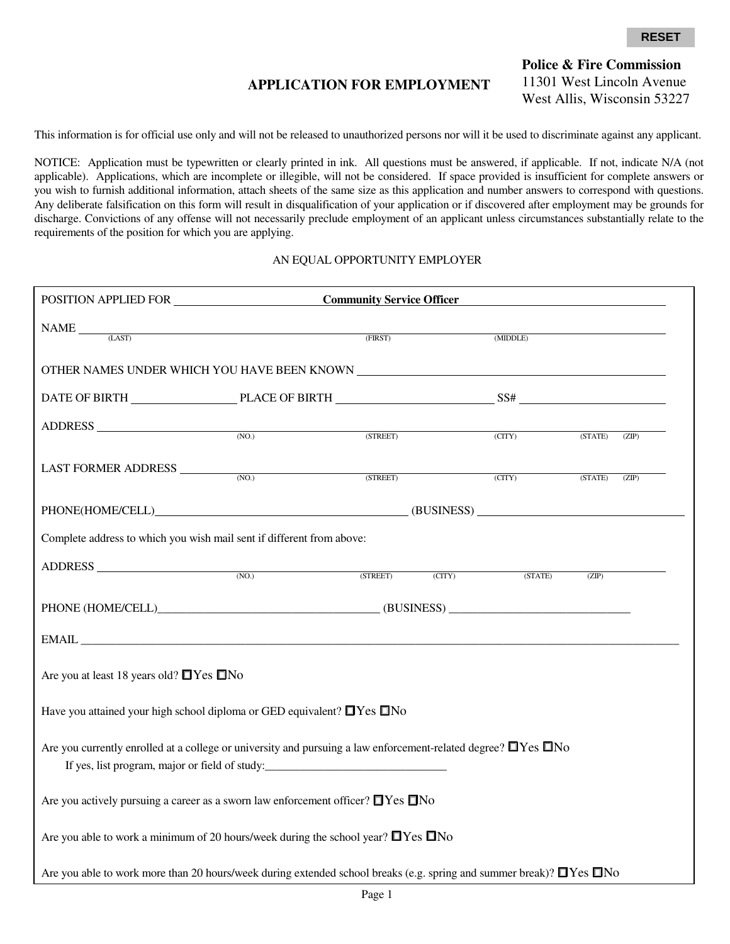## **APPLICATION FOR EMPLOYMENT**

**Police & Fire Commission**  11301 West Lincoln Avenue West Allis, Wisconsin 53227

This information is for official use only and will not be released to unauthorized persons nor will it be used to discriminate against any applicant.

NOTICE: Application must be typewritten or clearly printed in ink. All questions must be answered, if applicable. If not, indicate N/A (not applicable). Applications, which are incomplete or illegible, will not be considered. If space provided is insufficient for complete answers or you wish to furnish additional information, attach sheets of the same size as this application and number answers to correspond with questions. Any deliberate falsification on this form will result in disqualification of your application or if discovered after employment may be grounds for discharge. Convictions of any offense will not necessarily preclude employment of an applicant unless circumstances substantially relate to the requirements of the position for which you are applying.

#### AN EQUAL OPPORTUNITY EMPLOYER

|                                                                                                                                                                                                                |       | <b>Community Service Officer</b> |        |          |         |       |
|----------------------------------------------------------------------------------------------------------------------------------------------------------------------------------------------------------------|-------|----------------------------------|--------|----------|---------|-------|
| $\text{NAME} \qquad \qquad \text{(LAST)} \qquad \qquad \text{(FIRST)}$                                                                                                                                         |       |                                  |        | (MIDDLE) |         |       |
|                                                                                                                                                                                                                |       |                                  |        |          |         |       |
|                                                                                                                                                                                                                |       |                                  |        |          |         |       |
| ADDRESS (NO.) (STREET) (CITY)                                                                                                                                                                                  |       |                                  |        |          | (STATE) | (ZIP) |
| LAST FORMER ADDRESS                                                                                                                                                                                            | (NO.) |                                  |        |          |         |       |
|                                                                                                                                                                                                                |       | (STREET)                         |        | (CITY)   | (STATE) | (ZIP) |
|                                                                                                                                                                                                                |       |                                  |        |          |         |       |
| Complete address to which you wish mail sent if different from above:                                                                                                                                          |       |                                  |        |          |         |       |
| ADDRESS (NO.)                                                                                                                                                                                                  |       | (STREET)                         | (CITY) | (STATE)  | (ZIP)   |       |
| PHONE (HOME/CELL) (BUSINESS)                                                                                                                                                                                   |       |                                  |        |          |         |       |
|                                                                                                                                                                                                                |       |                                  |        |          |         |       |
| Are you at least 18 years old? $\Box$ Yes $\Box$ No                                                                                                                                                            |       |                                  |        |          |         |       |
| Have you attained your high school diploma or GED equivalent? $\Box$ Yes $\Box$ No                                                                                                                             |       |                                  |        |          |         |       |
| Are you currently enrolled at a college or university and pursuing a law enforcement-related degree? $\Box$ Yes $\Box$ No<br>If yes, list program, major or field of study:___________________________________ |       |                                  |        |          |         |       |
| Are you actively pursuing a career as a sworn law enforcement officer? $\Box$ Yes $\Box$ No                                                                                                                    |       |                                  |        |          |         |       |
| Are you able to work a minimum of 20 hours/week during the school year? $\Box$ Yes $\Box$ No                                                                                                                   |       |                                  |        |          |         |       |
| Are you able to work more than 20 hours/week during extended school breaks (e.g. spring and summer break)? □Yes □No                                                                                            |       |                                  |        |          |         |       |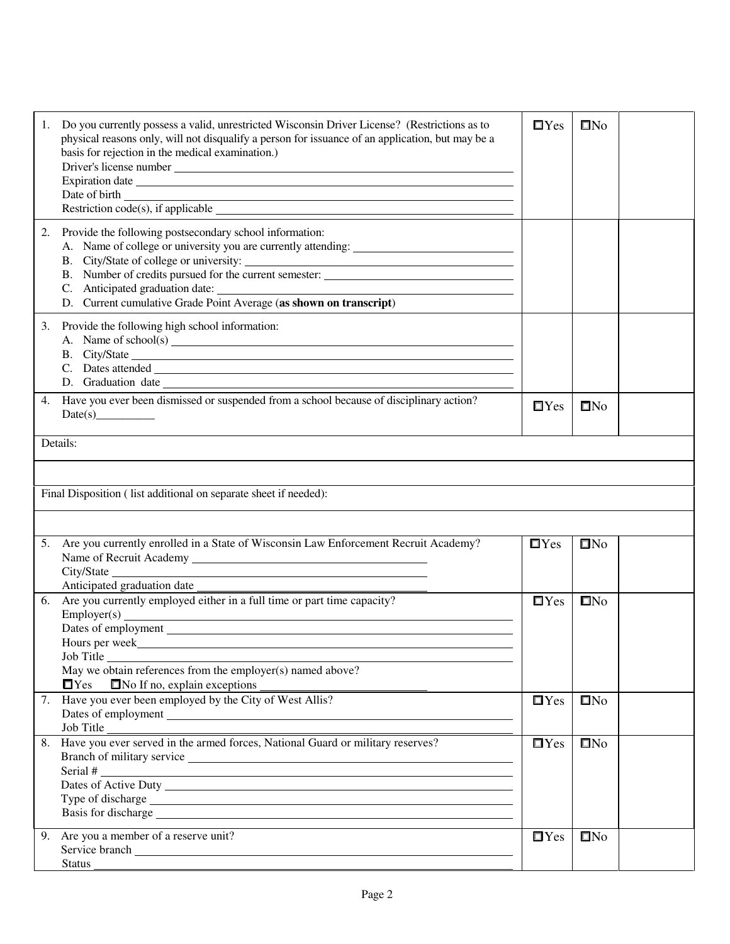| Do you currently possess a valid, unrestricted Wisconsin Driver License? (Restrictions as to<br>1.<br>physical reasons only, will not disqualify a person for issuance of an application, but may be a<br>basis for rejection in the medical examination.)<br>Expiration date experiments and the second second second second second second second second second second second second second second second second second second second second second second second second second second seco | $\Box$ Yes    | $\square$ No |
|----------------------------------------------------------------------------------------------------------------------------------------------------------------------------------------------------------------------------------------------------------------------------------------------------------------------------------------------------------------------------------------------------------------------------------------------------------------------------------------------|---------------|--------------|
| 2.<br>Provide the following postsecondary school information:<br>A. Name of college or university you are currently attending:<br>D. Current cumulative Grade Point Average (as shown on transcript)                                                                                                                                                                                                                                                                                         |               |              |
| Provide the following high school information:<br>3.<br>A. Name of school(s) $\qquad \qquad$                                                                                                                                                                                                                                                                                                                                                                                                 |               |              |
| Have you ever been dismissed or suspended from a school because of disciplinary action?<br>4.                                                                                                                                                                                                                                                                                                                                                                                                | $\Box$ Yes    | $\square$ No |
| Details:                                                                                                                                                                                                                                                                                                                                                                                                                                                                                     |               |              |
|                                                                                                                                                                                                                                                                                                                                                                                                                                                                                              |               |              |
| Final Disposition (list additional on separate sheet if needed):                                                                                                                                                                                                                                                                                                                                                                                                                             |               |              |
|                                                                                                                                                                                                                                                                                                                                                                                                                                                                                              |               |              |
|                                                                                                                                                                                                                                                                                                                                                                                                                                                                                              |               |              |
| Are you currently enrolled in a State of Wisconsin Law Enforcement Recruit Academy?<br>5.                                                                                                                                                                                                                                                                                                                                                                                                    | $\square$ Yes | $\square$ No |
| Anticipated graduation date<br>Are you currently employed either in a full time or part time capacity?<br>6.                                                                                                                                                                                                                                                                                                                                                                                 | $\Box$ Yes    | $\square$ No |
| Hours per week<br>Job Title<br>May we obtain references from the employer(s) named above?<br>$\Box$ Yes<br>$\Box$ No If no, explain exceptions                                                                                                                                                                                                                                                                                                                                               |               |              |
| Have you ever been employed by the City of West Allis?<br>7.<br>Job Title                                                                                                                                                                                                                                                                                                                                                                                                                    | $\Box$ Yes    | $\square$ No |
| Have you ever served in the armed forces, National Guard or military reserves?<br>8.<br>Serial #                                                                                                                                                                                                                                                                                                                                                                                             | $\Box$ Yes    | $\square$ No |
| 9. Are you a member of a reserve unit?<br><b>Status</b>                                                                                                                                                                                                                                                                                                                                                                                                                                      | $\Box$ Yes    | $\square$ No |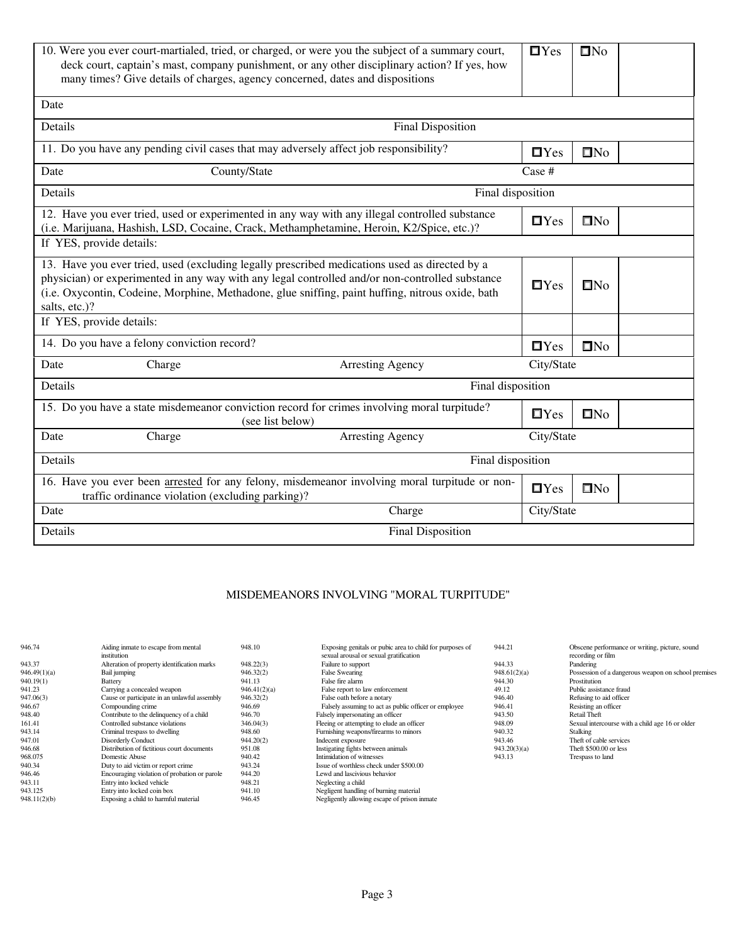|                          | 10. Were you ever court-martialed, tried, or charged, or were you the subject of a summary court,<br>deck court, captain's mast, company punishment, or any other disciplinary action? If yes, how<br>many times? Give details of charges, agency concerned, dates and dispositions | $\Box$ Yes                                                                                                                                                                                                                                                                                           | $\square$ No  |              |  |  |  |  |
|--------------------------|-------------------------------------------------------------------------------------------------------------------------------------------------------------------------------------------------------------------------------------------------------------------------------------|------------------------------------------------------------------------------------------------------------------------------------------------------------------------------------------------------------------------------------------------------------------------------------------------------|---------------|--------------|--|--|--|--|
| Date                     |                                                                                                                                                                                                                                                                                     |                                                                                                                                                                                                                                                                                                      |               |              |  |  |  |  |
| Details                  |                                                                                                                                                                                                                                                                                     | <b>Final Disposition</b>                                                                                                                                                                                                                                                                             |               |              |  |  |  |  |
|                          |                                                                                                                                                                                                                                                                                     | 11. Do you have any pending civil cases that may adversely affect job responsibility?                                                                                                                                                                                                                | $\Box$ Yes    | $\square$ No |  |  |  |  |
| Date                     | County/State                                                                                                                                                                                                                                                                        |                                                                                                                                                                                                                                                                                                      | Case #        |              |  |  |  |  |
| Details                  |                                                                                                                                                                                                                                                                                     | Final disposition                                                                                                                                                                                                                                                                                    |               |              |  |  |  |  |
|                          |                                                                                                                                                                                                                                                                                     | 12. Have you ever tried, used or experimented in any way with any illegal controlled substance<br>(i.e. Marijuana, Hashish, LSD, Cocaine, Crack, Methamphetamine, Heroin, K2/Spice, etc.)?                                                                                                           | $\Box$ Yes    | $\Box$ No    |  |  |  |  |
| If YES, provide details: |                                                                                                                                                                                                                                                                                     |                                                                                                                                                                                                                                                                                                      |               |              |  |  |  |  |
| salts, etc.)?            |                                                                                                                                                                                                                                                                                     | 13. Have you ever tried, used (excluding legally prescribed medications used as directed by a<br>physician) or experimented in any way with any legal controlled and/or non-controlled substance<br>(i.e. Oxycontin, Codeine, Morphine, Methadone, glue sniffing, paint huffing, nitrous oxide, bath | $\square$ Yes | $\square$ No |  |  |  |  |
| If YES, provide details: |                                                                                                                                                                                                                                                                                     |                                                                                                                                                                                                                                                                                                      |               |              |  |  |  |  |
|                          | 14. Do you have a felony conviction record?                                                                                                                                                                                                                                         |                                                                                                                                                                                                                                                                                                      | $\Box$ Yes    | $\square$ No |  |  |  |  |
| Date                     | Charge                                                                                                                                                                                                                                                                              | <b>Arresting Agency</b>                                                                                                                                                                                                                                                                              | City/State    |              |  |  |  |  |
| Details                  |                                                                                                                                                                                                                                                                                     | Final disposition                                                                                                                                                                                                                                                                                    |               |              |  |  |  |  |
|                          |                                                                                                                                                                                                                                                                                     | 15. Do you have a state misdemeanor conviction record for crimes involving moral turpitude?<br>(see list below)                                                                                                                                                                                      | $\Box$ Yes    | $\square$ No |  |  |  |  |
| Date                     | City/State<br>Charge<br><b>Arresting Agency</b>                                                                                                                                                                                                                                     |                                                                                                                                                                                                                                                                                                      |               |              |  |  |  |  |
| Details                  | Final disposition                                                                                                                                                                                                                                                                   |                                                                                                                                                                                                                                                                                                      |               |              |  |  |  |  |
|                          | traffic ordinance violation (excluding parking)?                                                                                                                                                                                                                                    | 16. Have you ever been arrested for any felony, misdemeanor involving moral turpitude or non-                                                                                                                                                                                                        | $\Box$ Yes    | $\square$ No |  |  |  |  |
| Charge<br>Date           |                                                                                                                                                                                                                                                                                     |                                                                                                                                                                                                                                                                                                      |               | City/State   |  |  |  |  |
| Details                  | <b>Final Disposition</b>                                                                                                                                                                                                                                                            |                                                                                                                                                                                                                                                                                                      |               |              |  |  |  |  |
|                          |                                                                                                                                                                                                                                                                                     |                                                                                                                                                                                                                                                                                                      |               |              |  |  |  |  |

## MISDEMEANORS INVOLVING "MORAL TURPITUDE"

| 946.74       | Aiding inmate to escape from mental<br>institution | 948.10       | Exposing genitals or pubic area to child for purposes of<br>sexual arousal or sexual gratification | 944.21       | Obscene performance or writing, picture, sound<br>recording or film |
|--------------|----------------------------------------------------|--------------|----------------------------------------------------------------------------------------------------|--------------|---------------------------------------------------------------------|
| 943.37       | Alteration of property identification marks        | 948.22(3)    | Failure to support                                                                                 | 944.33       | Pandering                                                           |
| 946.49(1)(a) | Bail jumping                                       | 946.32(2)    | <b>False Swearing</b>                                                                              | 948.61(2)(a) | Possession of a dangerous weapon on school premises                 |
| 940.19(1)    | <b>Battery</b>                                     | 941.13       | False fire alarm                                                                                   | 944.30       | Prostitution                                                        |
| 941.23       | Carrying a concealed weapon                        | 946.41(2)(a) | False report to law enforcement                                                                    | 49.12        | Public assistance fraud                                             |
| 947.06(3)    | Cause or participate in an unlawful assembly       | 946.32(2)    | False oath before a notary                                                                         | 946.40       | Refusing to aid officer                                             |
| 946.67       | Compounding crime                                  | 946.69       | Falsely assuming to act as public officer or employee                                              | 946.41       | Resisting an officer                                                |
| 948.40       | Contribute to the delinquency of a child           | 946.70       | Falsely impersonating an officer                                                                   | 943.50       | Retail Theft                                                        |
| 161.41       | Controlled substance violations                    | 346.04(3)    | Fleeing or attempting to elude an officer                                                          | 948.09       | Sexual intercourse with a child age 16 or older                     |
| 943.14       | Criminal trespass to dwelling                      | 948.60       | Furnishing weapons/firearms to minors                                                              | 940.32       | Stalking                                                            |
| 947.01       | <b>Disorderly Conduct</b>                          | 944.20(2)    | Indecent exposure                                                                                  | 943.46       | Theft of cable services                                             |
| 946.68       | Distribution of fictitious court documents         | 951.08       | Instigating fights between animals                                                                 | 943.20(3)(a) | Theft \$500,00 or less                                              |
| 968.075      | Domestic Abuse                                     | 940.42       | Intimidation of witnesses                                                                          | 943.13       | Trespass to land                                                    |
| 940.34       | Duty to aid victim or report crime                 | 943.24       | Issue of worthless check under \$500.00                                                            |              |                                                                     |
| 946.46       | Encouraging violation of probation or parole       | 944.20       | Lewd and lascivious behavior                                                                       |              |                                                                     |
| 943.11       | Entry into locked vehicle                          | 948.21       | Neglecting a child                                                                                 |              |                                                                     |
| 943.125      | Entry into locked coin box                         | 941.10       | Negligent handling of burning material                                                             |              |                                                                     |
| 948.11(2)(b) | Exposing a child to harmful material               | 946.45       | Negligently allowing escape of prison inmate                                                       |              |                                                                     |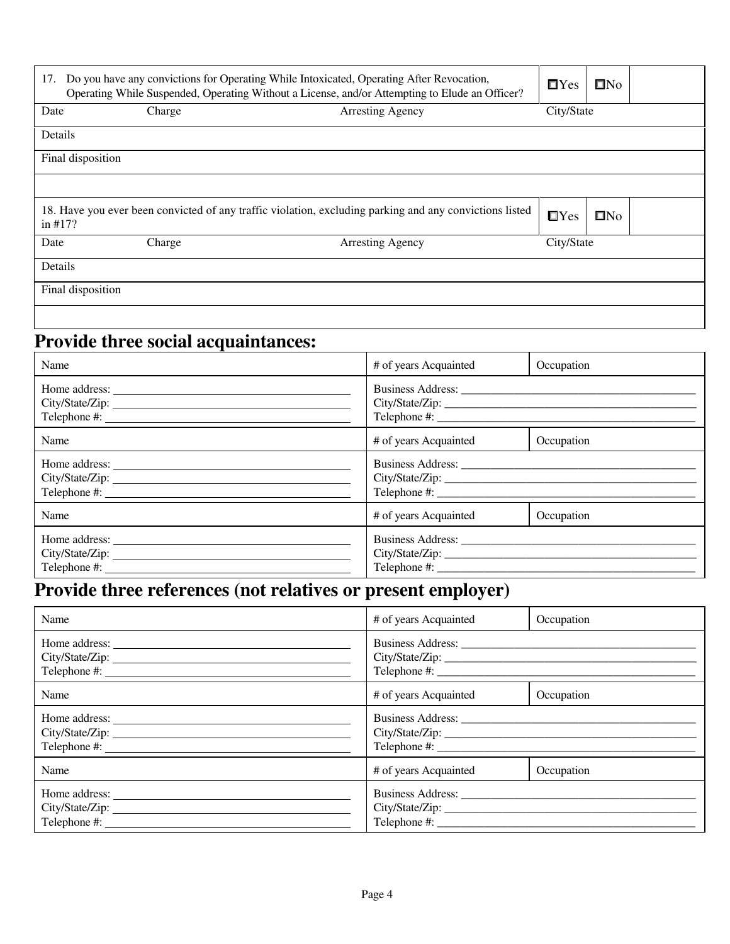| Do you have any convictions for Operating While Intoxicated, Operating After Revocation,<br>17.<br>Operating While Suspended, Operating Without a License, and/or Attempting to Elude an Officer? | $\Box$ Yes                        | $\square$ No                                                                                            |            |              |
|---------------------------------------------------------------------------------------------------------------------------------------------------------------------------------------------------|-----------------------------------|---------------------------------------------------------------------------------------------------------|------------|--------------|
| Date                                                                                                                                                                                              | Charge<br><b>Arresting Agency</b> |                                                                                                         | City/State |              |
| Details                                                                                                                                                                                           |                                   |                                                                                                         |            |              |
| Final disposition                                                                                                                                                                                 |                                   |                                                                                                         |            |              |
|                                                                                                                                                                                                   |                                   |                                                                                                         |            |              |
| in $#17$ ?                                                                                                                                                                                        |                                   | 18. Have you ever been convicted of any traffic violation, excluding parking and any convictions listed | $\Box$ Yes | $\square$ No |
| Date                                                                                                                                                                                              | Charge                            | <b>Arresting Agency</b>                                                                                 | City/State |              |
| Details                                                                                                                                                                                           |                                   |                                                                                                         |            |              |
| Final disposition                                                                                                                                                                                 |                                   |                                                                                                         |            |              |
|                                                                                                                                                                                                   |                                   |                                                                                                         |            |              |

# **Provide three social acquaintances:**

| Name            | # of years Acquainted               | Occupation |
|-----------------|-------------------------------------|------------|
|                 |                                     |            |
|                 |                                     |            |
|                 |                                     |            |
| Name            | # of years Acquainted               | Occupation |
|                 |                                     |            |
| City/State/Zip: |                                     |            |
|                 |                                     |            |
| Name            | # of years Acquainted<br>Occupation |            |
| Home address:   |                                     |            |
| City/State/Zip: |                                     |            |
|                 |                                     |            |

# **Provide three references (not relatives or present employer)**

| Name            | # of years Acquainted | Occupation |
|-----------------|-----------------------|------------|
|                 |                       |            |
| Name            | # of years Acquainted | Occupation |
| City/State/Zip: |                       |            |
| Name            | # of years Acquainted | Occupation |
| City/State/Zip: | Telephone #:          |            |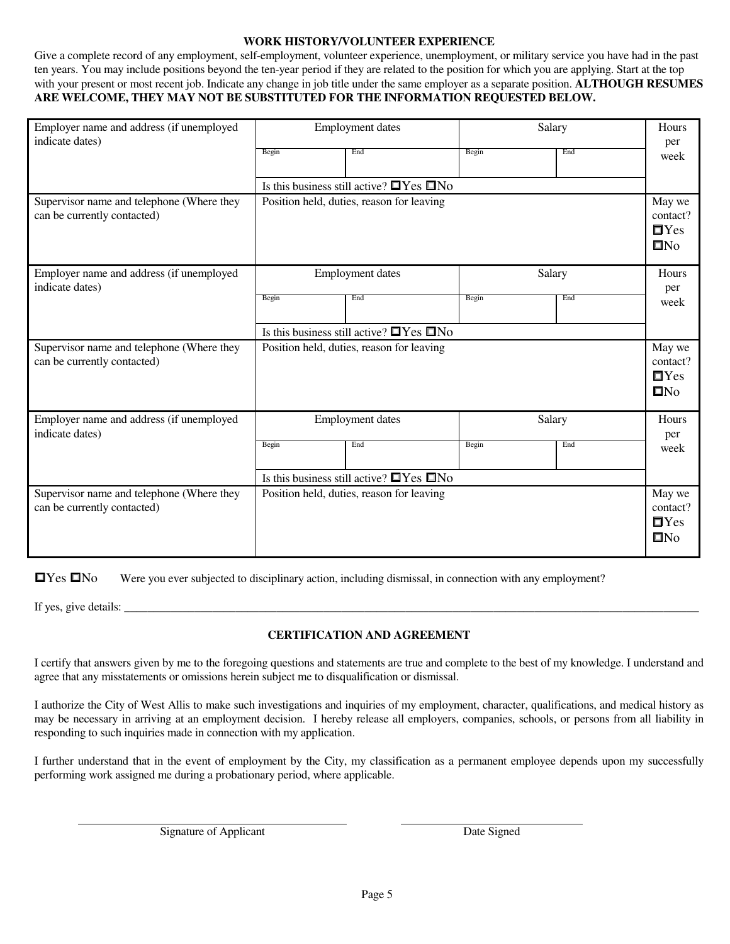### **WORK HISTORY/VOLUNTEER EXPERIENCE**

Give a complete record of any employment, self-employment, volunteer experience, unemployment, or military service you have had in the past ten years. You may include positions beyond the ten-year period if they are related to the position for which you are applying. Start at the top with your present or most recent job. Indicate any change in job title under the same employer as a separate position. **ALTHOUGH RESUMES ARE WELCOME, THEY MAY NOT BE SUBSTITUTED FOR THE INFORMATION REQUESTED BELOW.** 

| Employer name and address (if unemployed<br>indicate dates)              | <b>Employment dates</b>                   |                                                     |                                               | Salary |                                                  |
|--------------------------------------------------------------------------|-------------------------------------------|-----------------------------------------------------|-----------------------------------------------|--------|--------------------------------------------------|
|                                                                          | Begin                                     | End                                                 | Begin                                         | End    | per<br>week                                      |
|                                                                          |                                           | Is this business still active? $\Box$ Yes $\Box$ No |                                               |        |                                                  |
| Supervisor name and telephone (Where they<br>can be currently contacted) |                                           | Position held, duties, reason for leaving           |                                               |        | May we<br>contact?<br>$\Box$ Yes<br>$\Box$ No    |
| Employer name and address (if unemployed<br>indicate dates)              |                                           | <b>Employment</b> dates                             |                                               | Salary | Hours<br>per                                     |
|                                                                          | Begin                                     | End                                                 | Begin                                         | End    | week                                             |
|                                                                          |                                           | Is this business still active? $\Box$ Yes $\Box$ No |                                               |        |                                                  |
| Supervisor name and telephone (Where they<br>can be currently contacted) |                                           | Position held, duties, reason for leaving           |                                               |        | May we<br>contact?<br>$\Box$ Yes<br>$\square$ No |
| Employer name and address (if unemployed<br>indicate dates)              |                                           | <b>Employment</b> dates                             |                                               | Salary | Hours<br>per                                     |
|                                                                          | Begin                                     | End                                                 | Begin                                         | End    | week                                             |
|                                                                          |                                           | Is this business still active? $\Box$ Yes $\Box$ No |                                               |        |                                                  |
| Supervisor name and telephone (Where they<br>can be currently contacted) | Position held, duties, reason for leaving |                                                     | May we<br>contact?<br>$\Box$ Yes<br>$\Box$ No |        |                                                  |

□Yes □No Were you ever subjected to disciplinary action, including dismissal, in connection with any employment?

If yes, give details:  $\Box$ 

### **CERTIFICATION AND AGREEMENT**

I certify that answers given by me to the foregoing questions and statements are true and complete to the best of my knowledge. I understand and agree that any misstatements or omissions herein subject me to disqualification or dismissal.

I authorize the City of West Allis to make such investigations and inquiries of my employment, character, qualifications, and medical history as may be necessary in arriving at an employment decision. I hereby release all employers, companies, schools, or persons from all liability in responding to such inquiries made in connection with my application.

I further understand that in the event of employment by the City, my classification as a permanent employee depends upon my successfully performing work assigned me during a probationary period, where applicable.

Signature of Applicant Date Signed